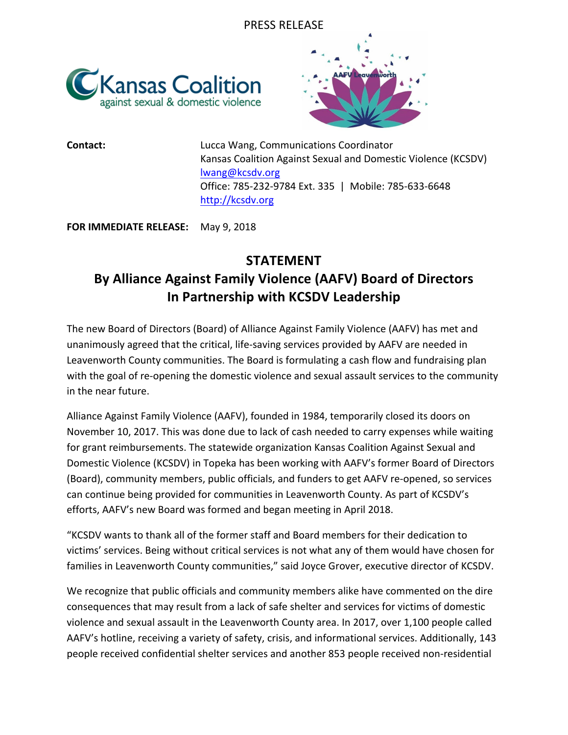



**Contact: Contact: Lucca Wang, Communications Coordinator** Kansas Coalition Against Sexual and Domestic Violence (KCSDV) lwang@kcsdv.org Office: 785-232-9784 Ext. 335 | Mobile: 785-633-6648 http://kcsdv.org

**FOR IMMEDIATE RELEASE:** May 9, 2018

## **STATEMENT By Alliance Against Family Violence (AAFV) Board of Directors In Partnership with KCSDV Leadership**

The new Board of Directors (Board) of Alliance Against Family Violence (AAFV) has met and unanimously agreed that the critical, life-saving services provided by AAFV are needed in Leavenworth County communities. The Board is formulating a cash flow and fundraising plan with the goal of re-opening the domestic violence and sexual assault services to the community in the near future.

Alliance Against Family Violence (AAFV), founded in 1984, temporarily closed its doors on November 10, 2017. This was done due to lack of cash needed to carry expenses while waiting for grant reimbursements. The statewide organization Kansas Coalition Against Sexual and Domestic Violence (KCSDV) in Topeka has been working with AAFV's former Board of Directors (Board), community members, public officials, and funders to get AAFV re-opened, so services can continue being provided for communities in Leavenworth County. As part of KCSDV's efforts, AAFV's new Board was formed and began meeting in April 2018.

"KCSDV wants to thank all of the former staff and Board members for their dedication to victims' services. Being without critical services is not what any of them would have chosen for families in Leavenworth County communities," said Joyce Grover, executive director of KCSDV.

We recognize that public officials and community members alike have commented on the dire consequences that may result from a lack of safe shelter and services for victims of domestic violence and sexual assault in the Leavenworth County area. In 2017, over 1,100 people called AAFV's hotline, receiving a variety of safety, crisis, and informational services. Additionally, 143 people received confidential shelter services and another 853 people received non-residential